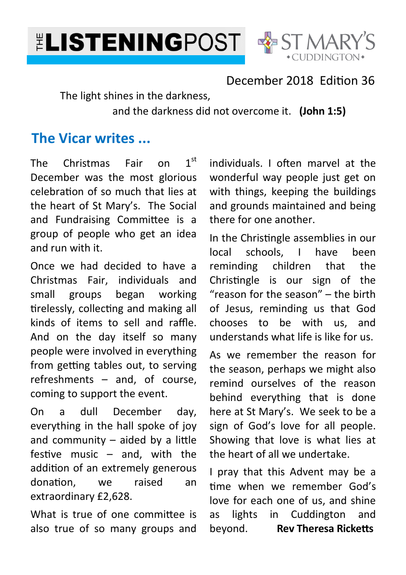



### December 2018 Edition 36

The light shines in the darkness,

and the darkness did not overcome it. **(John 1:5)**

# **The Vicar writes ...**

The Christmas Fair on 1st December was the most glorious celebration of so much that lies at the heart of St Mary's. The Social and Fundraising Committee is a group of people who get an idea and run with it.

Once we had decided to have a Christmas Fair, individuals and small groups began working tirelessly, collecting and making all kinds of items to sell and raffle. And on the day itself so many people were involved in everything from getting tables out, to serving refreshments – and, of course, coming to support the event.

On a dull December day, everything in the hall spoke of joy and community  $-$  aided by a little festive music  $-$  and, with the addition of an extremely generous donation, we raised an extraordinary £2,628.

What is true of one committee is also true of so many groups and individuals. I often marvel at the wonderful way people just get on with things, keeping the buildings and grounds maintained and being there for one another.

In the Christingle assemblies in our local schools, I have been reminding children that the Christingle is our sign of the "reason for the season" – the birth of Jesus, reminding us that God chooses to be with us, and understands what life is like for us.

As we remember the reason for the season, perhaps we might also remind ourselves of the reason behind everything that is done here at St Mary's. We seek to be a sign of God's love for all people. Showing that love is what lies at the heart of all we undertake.

I pray that this Advent may be a time when we remember God's love for each one of us, and shine as lights in Cuddington and beyond. **Rev Theresa Ricketts**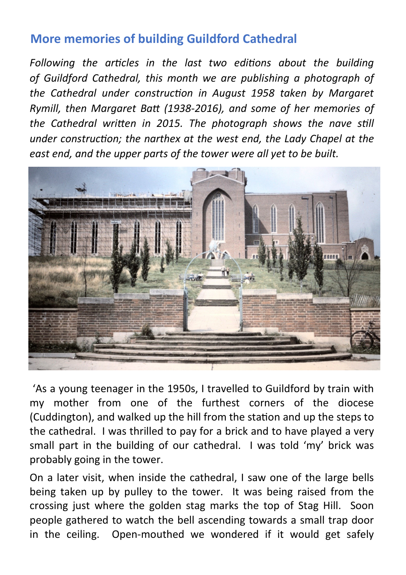## **More memories of building Guildford Cathedral**

Following the articles in the last two editions about the building *of Guildford Cathedral, this month we are publishing a photograph of*  the Cathedral under construction in August 1958 taken by Margaret *Rymill, then Margaret Batt (1938-2016), and some of her memories of* the Cathedral written in 2015. The photograph shows the nave still under construction; the narthex at the west end, the Lady Chapel at the *east end, and the upper parts of the tower were all yet to be built.* 



'As a young teenager in the 1950s, I travelled to Guildford by train with my mother from one of the furthest corners of the diocese (Cuddington), and walked up the hill from the station and up the steps to the cathedral. I was thrilled to pay for a brick and to have played a very small part in the building of our cathedral. I was told 'my' brick was probably going in the tower.

On a later visit, when inside the cathedral, I saw one of the large bells being taken up by pulley to the tower. It was being raised from the crossing just where the golden stag marks the top of Stag Hill. Soon people gathered to watch the bell ascending towards a small trap door in the ceiling. Open-mouthed we wondered if it would get safely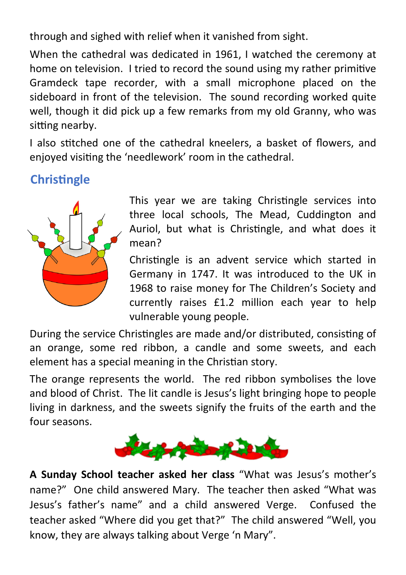through and sighed with relief when it vanished from sight.

When the cathedral was dedicated in 1961, I watched the ceremony at home on television. I tried to record the sound using my rather primitive Gramdeck tape recorder, with a small microphone placed on the sideboard in front of the television. The sound recording worked quite well, though it did pick up a few remarks from my old Granny, who was sitting nearby.

I also stitched one of the cathedral kneelers, a basket of flowers, and enjoyed vising the 'needlework' room in the cathedral.

## **Christingle**



This year we are taking Christingle services into three local schools, The Mead, Cuddington and Auriol, but what is Christingle, and what does it mean?

Christingle is an advent service which started in Germany in 1747. It was introduced to the UK in 1968 to raise money for The Children's Society and currently raises £1.2 million each year to help vulnerable young people.

During the service Christingles are made and/or distributed, consisting of an orange, some red ribbon, a candle and some sweets, and each element has a special meaning in the Christian story.

The orange represents the world. The red ribbon symbolises the love and blood of Christ. The lit candle is Jesus's light bringing hope to people living in darkness, and the sweets signify the fruits of the earth and the four seasons.



**A Sunday School teacher asked her class** "What was Jesus's mother's name?" One child answered Mary. The teacher then asked "What was Jesus's father's name" and a child answered Verge. Confused the teacher asked "Where did you get that?" The child answered "Well, you know, they are always talking about Verge 'n Mary".